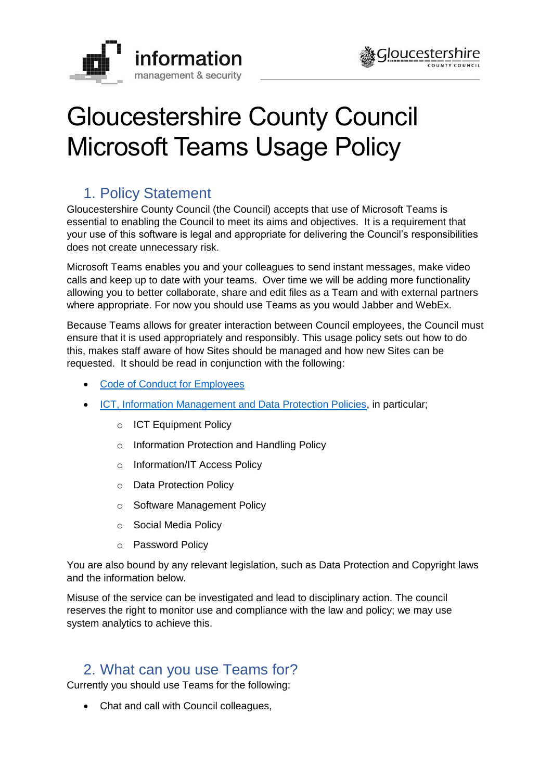



# Gloucestershire County Council Microsoft Teams Usage Policy

# 1. Policy Statement

Gloucestershire County Council (the Council) accepts that use of Microsoft Teams is essential to enabling the Council to meet its aims and objectives. It is a requirement that your use of this software is legal and appropriate for delivering the Council's responsibilities does not create unnecessary risk.

Microsoft Teams enables you and your colleagues to send instant messages, make video calls and keep up to date with your teams. Over time we will be adding more functionality allowing you to better collaborate, share and edit files as a Team and with external partners where appropriate. For now you should use Teams as you would Jabber and WebEx.

Because Teams allows for greater interaction between Council employees, the Council must ensure that it is used appropriately and responsibly. This usage policy sets out how to do this, makes staff aware of how Sites should be managed and how new Sites can be requested. It should be read in conjunction with the following:

- [Code of Conduct](https://staffnet.gloucestershire.gov.uk/policies-procedures-and-forms/procedures-and-guidance/employee-code-of-conduct/) for Employees
- [ICT, Information Management and Data Protection Policies,](https://www.gloucestershire.gov.uk/council-and-democracy/strategies-plans-policies/information-management-and-security-policies/) in particular;
	- o ICT Equipment Policy
	- o Information Protection and Handling Policy
	- o Information/IT Access Policy
	- o Data Protection Policy
	- o Software Management Policy
	- o Social Media Policy
	- o Password Policy

You are also bound by any relevant legislation, such as Data Protection and Copyright laws and the information below.

Misuse of the service can be investigated and lead to disciplinary action. The council reserves the right to monitor use and compliance with the law and policy; we may use system analytics to achieve this.

## 2. What can you use Teams for?

Currently you should use Teams for the following:

Chat and call with Council colleagues,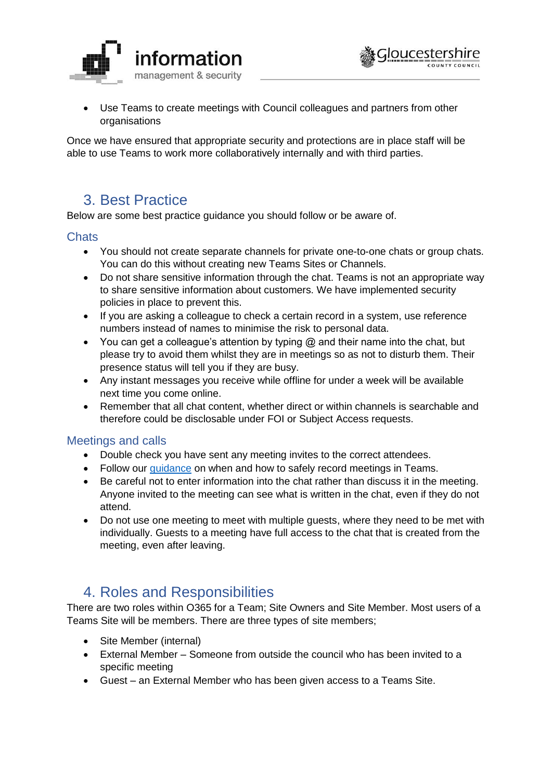

 Use Teams to create meetings with Council colleagues and partners from other organisations

Once we have ensured that appropriate security and protections are in place staff will be able to use Teams to work more collaboratively internally and with third parties.

## 3. Best Practice

Below are some best practice guidance you should follow or be aware of.

#### **Chats**

- You should not create separate channels for private one-to-one chats or group chats. You can do this without creating new Teams Sites or Channels.
- Do not share sensitive information through the chat. Teams is not an appropriate way to share sensitive information about customers. We have implemented security policies in place to prevent this.
- If you are asking a colleague to check a certain record in a system, use reference numbers instead of names to minimise the risk to personal data.
- You can get a colleague's attention by typing  $@$  and their name into the chat, but please try to avoid them whilst they are in meetings so as not to disturb them. Their presence status will tell you if they are busy.
- Any instant messages you receive while offline for under a week will be available next time you come online.
- Remember that all chat content, whether direct or within channels is searchable and therefore could be disclosable under FOI or Subject Access requests.

### Meetings and calls

- Double check you have sent any meeting invites to the correct attendees.
- Follow our [guidance](https://staffnet.gloucestershire.gov.uk/internal-services/information-management-service/information-governance-and-data-protection/recording-video-calls-and-meetings-in-microsoft-teams/) on when and how to safely record meetings in Teams.
- Be careful not to enter information into the chat rather than discuss it in the meeting. Anyone invited to the meeting can see what is written in the chat, even if they do not attend.
- Do not use one meeting to meet with multiple guests, where they need to be met with individually. Guests to a meeting have full access to the chat that is created from the meeting, even after leaving.

## 4. Roles and Responsibilities

There are two roles within O365 for a Team; Site Owners and Site Member. Most users of a Teams Site will be members. There are three types of site members;

- Site Member (internal)
- External Member Someone from outside the council who has been invited to a specific meeting
- Guest an External Member who has been given access to a Teams Site.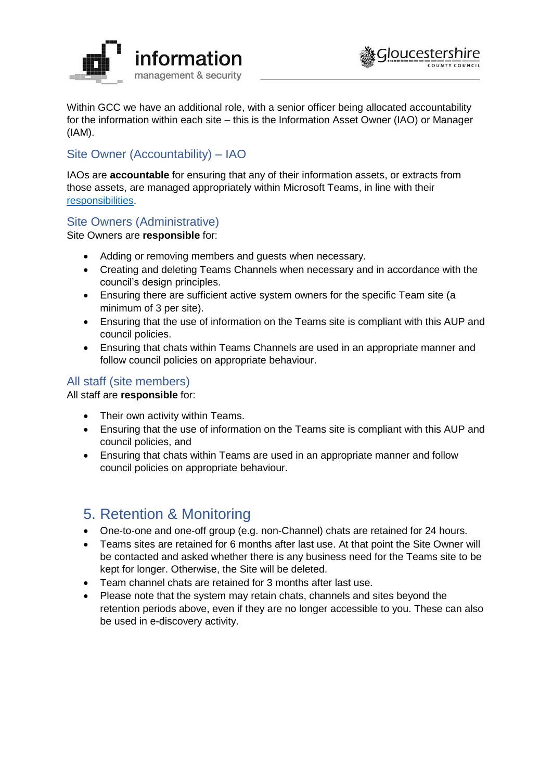



Within GCC we have an additional role, with a senior officer being allocated accountability for the information within each site – this is the Information Asset Owner (IAO) or Manager (IAM).

## Site Owner (Accountability) – IAO

IAOs are **accountable** for ensuring that any of their information assets, or extracts from those assets, are managed appropriately within Microsoft Teams, in line with their [responsibilities.](https://staffnet.gloucestershire.gov.uk/internal-services/information-management-service/information-governance-and-data-protection/information-asset-owners-iaos/overview-of-your-responsibilities-as-an-information-asset-owner-and-manager/)

### Site Owners (Administrative)

Site Owners are **responsible** for:

- Adding or removing members and guests when necessary.
- Creating and deleting Teams Channels when necessary and in accordance with the council's design principles.
- Ensuring there are sufficient active system owners for the specific Team site (a minimum of 3 per site).
- Ensuring that the use of information on the Teams site is compliant with this AUP and council policies.
- Ensuring that chats within Teams Channels are used in an appropriate manner and follow council policies on appropriate behaviour.

### All staff (site members)

All staff are **responsible** for:

- Their own activity within Teams.
- Ensuring that the use of information on the Teams site is compliant with this AUP and council policies, and
- Ensuring that chats within Teams are used in an appropriate manner and follow council policies on appropriate behaviour.

## 5. Retention & Monitoring

- One-to-one and one-off group (e.g. non-Channel) chats are retained for 24 hours.
- Teams sites are retained for 6 months after last use. At that point the Site Owner will be contacted and asked whether there is any business need for the Teams site to be kept for longer. Otherwise, the Site will be deleted.
- Team channel chats are retained for 3 months after last use.
- Please note that the system may retain chats, channels and sites beyond the retention periods above, even if they are no longer accessible to you. These can also be used in e-discovery activity.